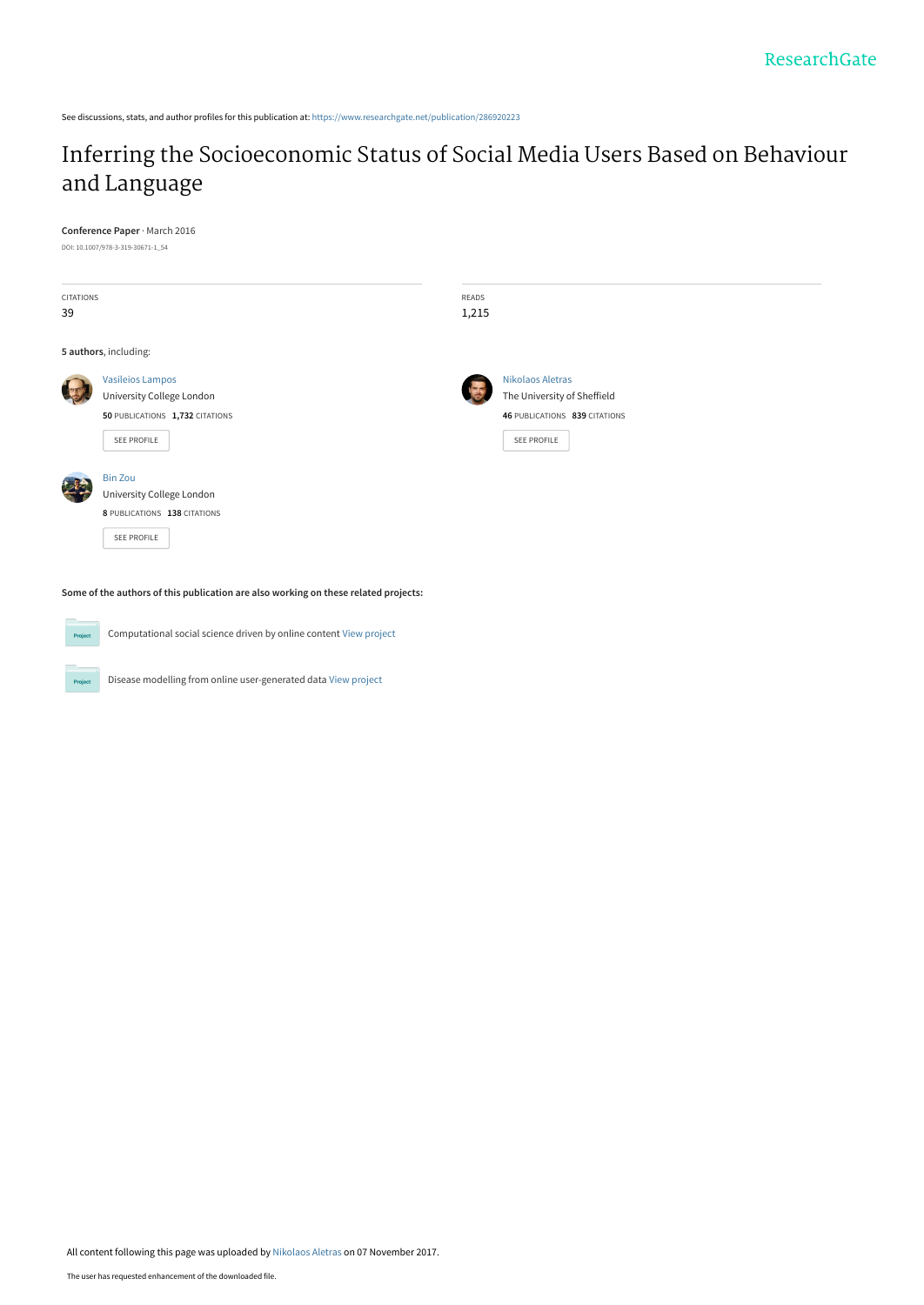See discussions, stats, and author profiles for this publication at: [https://www.researchgate.net/publication/286920223](https://www.researchgate.net/publication/286920223_Inferring_the_Socioeconomic_Status_of_Social_Media_Users_Based_on_Behaviour_and_Language?enrichId=rgreq-20d6fa7e33ab6153cf700597c8130594-XXX&enrichSource=Y292ZXJQYWdlOzI4NjkyMDIyMztBUzo1NTgwMTEwOTg4OTg0MzJAMTUxMDA1MTYyMTE4Nw%3D%3D&el=1_x_2&_esc=publicationCoverPdf)

# [Inferring the Socioeconomic Status of Social Media Users Based on Behaviour](https://www.researchgate.net/publication/286920223_Inferring_the_Socioeconomic_Status_of_Social_Media_Users_Based_on_Behaviour_and_Language?enrichId=rgreq-20d6fa7e33ab6153cf700597c8130594-XXX&enrichSource=Y292ZXJQYWdlOzI4NjkyMDIyMztBUzo1NTgwMTEwOTg4OTg0MzJAMTUxMDA1MTYyMTE4Nw%3D%3D&el=1_x_3&_esc=publicationCoverPdf) and Language

**Conference Paper** · March 2016 DOI: 10.1007/978-3-319-30671-1\_54 CITATIONS 39 READS 1,215 **5 authors**, including: [Vasileios Lampos](https://www.researchgate.net/profile/Vasileios_Lampos?enrichId=rgreq-20d6fa7e33ab6153cf700597c8130594-XXX&enrichSource=Y292ZXJQYWdlOzI4NjkyMDIyMztBUzo1NTgwMTEwOTg4OTg0MzJAMTUxMDA1MTYyMTE4Nw%3D%3D&el=1_x_5&_esc=publicationCoverPdf) [University College London](https://www.researchgate.net/institution/University_College_London?enrichId=rgreq-20d6fa7e33ab6153cf700597c8130594-XXX&enrichSource=Y292ZXJQYWdlOzI4NjkyMDIyMztBUzo1NTgwMTEwOTg4OTg0MzJAMTUxMDA1MTYyMTE4Nw%3D%3D&el=1_x_6&_esc=publicationCoverPdf) **50** PUBLICATIONS **1,732** CITATIONS [SEE PROFILE](https://www.researchgate.net/profile/Vasileios_Lampos?enrichId=rgreq-20d6fa7e33ab6153cf700597c8130594-XXX&enrichSource=Y292ZXJQYWdlOzI4NjkyMDIyMztBUzo1NTgwMTEwOTg4OTg0MzJAMTUxMDA1MTYyMTE4Nw%3D%3D&el=1_x_7&_esc=publicationCoverPdf) [Nikolaos Aletras](https://www.researchgate.net/profile/Nikolaos_Aletras?enrichId=rgreq-20d6fa7e33ab6153cf700597c8130594-XXX&enrichSource=Y292ZXJQYWdlOzI4NjkyMDIyMztBUzo1NTgwMTEwOTg4OTg0MzJAMTUxMDA1MTYyMTE4Nw%3D%3D&el=1_x_5&_esc=publicationCoverPdf) [The University of Sheffield](https://www.researchgate.net/institution/The_University_of_Sheffield?enrichId=rgreq-20d6fa7e33ab6153cf700597c8130594-XXX&enrichSource=Y292ZXJQYWdlOzI4NjkyMDIyMztBUzo1NTgwMTEwOTg4OTg0MzJAMTUxMDA1MTYyMTE4Nw%3D%3D&el=1_x_6&_esc=publicationCoverPdf) **46** PUBLICATIONS **839** CITATIONS [SEE PROFILE](https://www.researchgate.net/profile/Nikolaos_Aletras?enrichId=rgreq-20d6fa7e33ab6153cf700597c8130594-XXX&enrichSource=Y292ZXJQYWdlOzI4NjkyMDIyMztBUzo1NTgwMTEwOTg4OTg0MzJAMTUxMDA1MTYyMTE4Nw%3D%3D&el=1_x_7&_esc=publicationCoverPdf) [Bin Zou](https://www.researchgate.net/profile/Bin_Zou12?enrichId=rgreq-20d6fa7e33ab6153cf700597c8130594-XXX&enrichSource=Y292ZXJQYWdlOzI4NjkyMDIyMztBUzo1NTgwMTEwOTg4OTg0MzJAMTUxMDA1MTYyMTE4Nw%3D%3D&el=1_x_5&_esc=publicationCoverPdf) [University College London](https://www.researchgate.net/institution/University_College_London?enrichId=rgreq-20d6fa7e33ab6153cf700597c8130594-XXX&enrichSource=Y292ZXJQYWdlOzI4NjkyMDIyMztBUzo1NTgwMTEwOTg4OTg0MzJAMTUxMDA1MTYyMTE4Nw%3D%3D&el=1_x_6&_esc=publicationCoverPdf) **8** PUBLICATIONS **138** CITATIONS [SEE PROFILE](https://www.researchgate.net/profile/Bin_Zou12?enrichId=rgreq-20d6fa7e33ab6153cf700597c8130594-XXX&enrichSource=Y292ZXJQYWdlOzI4NjkyMDIyMztBUzo1NTgwMTEwOTg4OTg0MzJAMTUxMDA1MTYyMTE4Nw%3D%3D&el=1_x_7&_esc=publicationCoverPdf)

**Some of the authors of this publication are also working on these related projects:**

**Project** Computational social science driven by online content [View project](https://www.researchgate.net/project/Computational-social-science-driven-by-online-content?enrichId=rgreq-20d6fa7e33ab6153cf700597c8130594-XXX&enrichSource=Y292ZXJQYWdlOzI4NjkyMDIyMztBUzo1NTgwMTEwOTg4OTg0MzJAMTUxMDA1MTYyMTE4Nw%3D%3D&el=1_x_9&_esc=publicationCoverPdf) Disease modelling from online user-generated data [View project](https://www.researchgate.net/project/Disease-modelling-from-online-user-generated-data?enrichId=rgreq-20d6fa7e33ab6153cf700597c8130594-XXX&enrichSource=Y292ZXJQYWdlOzI4NjkyMDIyMztBUzo1NTgwMTEwOTg4OTg0MzJAMTUxMDA1MTYyMTE4Nw%3D%3D&el=1_x_9&_esc=publicationCoverPdf) Proj

All content following this page was uploaded by [Nikolaos Aletras](https://www.researchgate.net/profile/Nikolaos_Aletras?enrichId=rgreq-20d6fa7e33ab6153cf700597c8130594-XXX&enrichSource=Y292ZXJQYWdlOzI4NjkyMDIyMztBUzo1NTgwMTEwOTg4OTg0MzJAMTUxMDA1MTYyMTE4Nw%3D%3D&el=1_x_10&_esc=publicationCoverPdf) on 07 November 2017.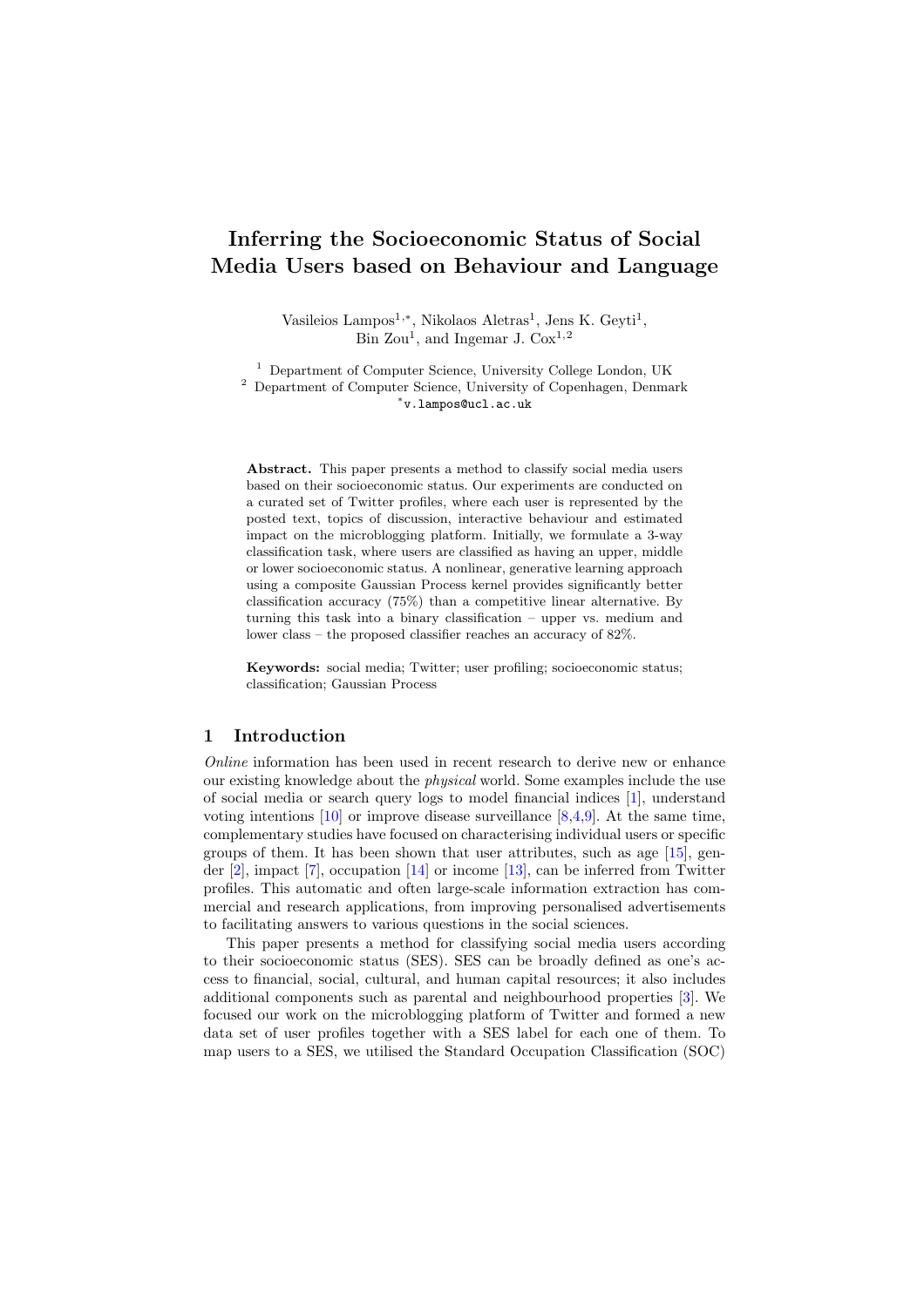## Inferring the Socioeconomic Status of Social Media Users based on Behaviour and Language

Vasileios Lampos<sup>1,\*</sup>, Nikolaos Aletras<sup>1</sup>, Jens K. Geyti<sup>1</sup>, Bin Zou<sup>1</sup>, and Ingemar J. Cox<sup>1,2</sup>

<sup>1</sup> Department of Computer Science, University College London, UK <sup>2</sup> Department of Computer Science, University of Copenhagen, Denmark ⇤v.lampos@ucl.ac.uk

Abstract. This paper presents a method to classify social media users based on their socioeconomic status. Our experiments are conducted on a curated set of Twitter profiles, where each user is represented by the posted text, topics of discussion, interactive behaviour and estimated impact on the microblogging platform. Initially, we formulate a 3-way classification task, where users are classified as having an upper, middle or lower socioeconomic status. A nonlinear, generative learning approach using a composite Gaussian Process kernel provides significantly better classification accuracy (75%) than a competitive linear alternative. By turning this task into a binary classification – upper vs. medium and lower class – the proposed classifier reaches an accuracy of 82%.

Keywords: social media; Twitter; user profiling; socioeconomic status; classification; Gaussian Process

#### 1 Introduction

*Online* information has been used in recent research to derive new or enhance our existing knowledge about the *physical* world. Some examples include the use of social media or search query logs to model financial indices [1], understand voting intentions  $[10]$  or improve disease surveillance  $[8,4,9]$ . At the same time, complementary studies have focused on characterising individual users or specific groups of them. It has been shown that user attributes, such as age [15], gender  $[2]$ , impact  $[7]$ , occupation  $[14]$  or income  $[13]$ , can be inferred from Twitter profiles. This automatic and often large-scale information extraction has commercial and research applications, from improving personalised advertisements to facilitating answers to various questions in the social sciences.

This paper presents a method for classifying social media users according to their socioeconomic status (SES). SES can be broadly defined as one's access to financial, social, cultural, and human capital resources; it also includes additional components such as parental and neighbourhood properties [3]. We focused our work on the microblogging platform of Twitter and formed a new data set of user profiles together with a SES label for each one of them. To map users to a SES, we utilised the Standard Occupation Classification (SOC)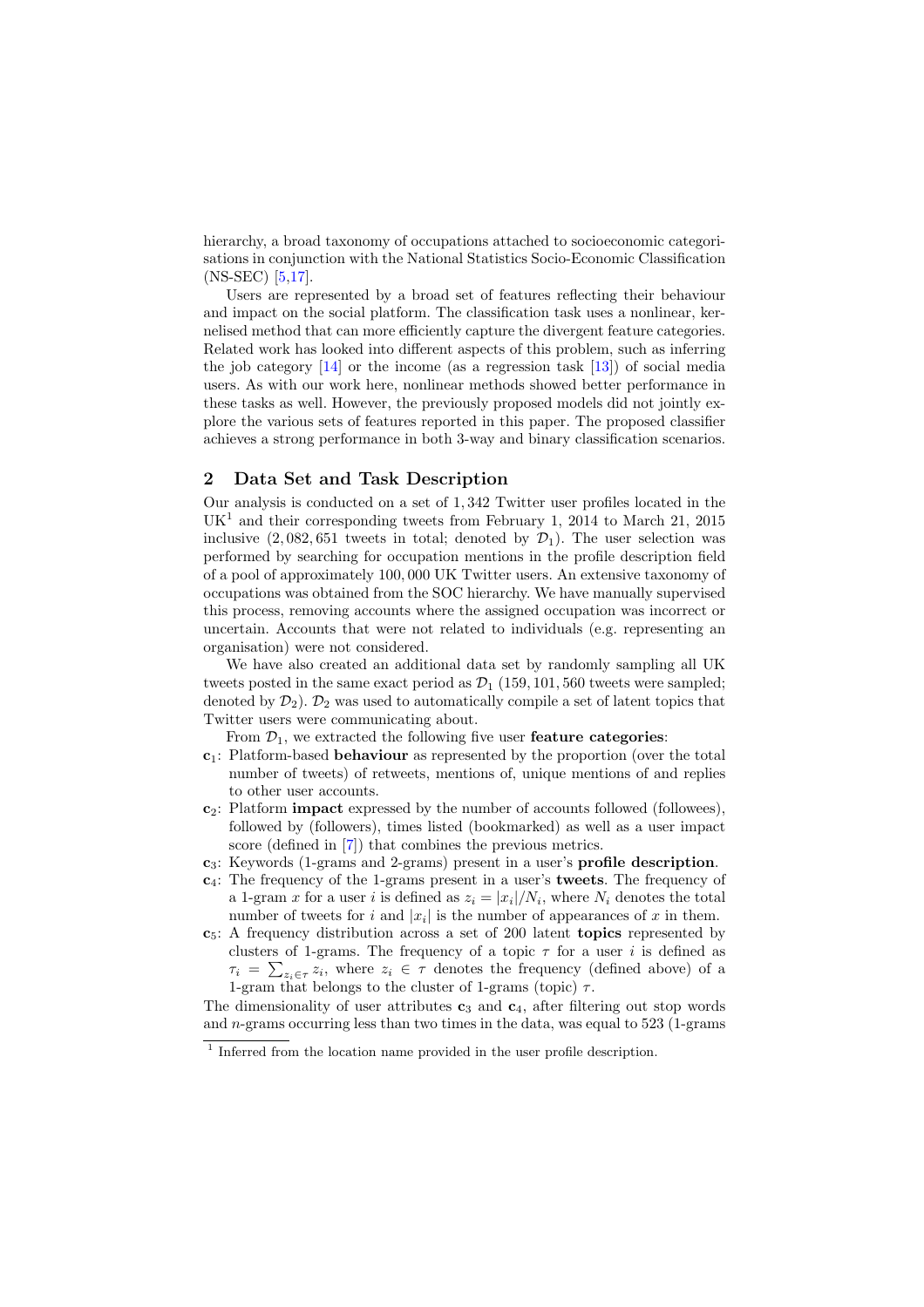hierarchy, a broad taxonomy of occupations attached to socioeconomic categorisations in conjunction with the National Statistics Socio-Economic Classification (NS-SEC) [5,17].

Users are represented by a broad set of features reflecting their behaviour and impact on the social platform. The classification task uses a nonlinear, kernelised method that can more efficiently capture the divergent feature categories. Related work has looked into different aspects of this problem, such as inferring the job category  $[14]$  or the income (as a regression task  $[13]$ ) of social media users. As with our work here, nonlinear methods showed better performance in these tasks as well. However, the previously proposed models did not jointly explore the various sets of features reported in this paper. The proposed classifier achieves a strong performance in both 3-way and binary classification scenarios.

#### 2 Data Set and Task Description

Our analysis is conducted on a set of 1*,* 342 Twitter user profiles located in the  $UK<sup>1</sup>$  and their corresponding tweets from February 1, 2014 to March 21, 2015 inclusive  $(2,082,651$  tweets in total; denoted by  $\mathcal{D}_1$ ). The user selection was performed by searching for occupation mentions in the profile description field of a pool of approximately 100*,* 000 UK Twitter users. An extensive taxonomy of occupations was obtained from the SOC hierarchy. We have manually supervised this process, removing accounts where the assigned occupation was incorrect or uncertain. Accounts that were not related to individuals (e.g. representing an organisation) were not considered.

We have also created an additional data set by randomly sampling all UK tweets posted in the same exact period as  $\mathcal{D}_1$  (159, 101, 560 tweets were sampled; denoted by  $\mathcal{D}_2$ ).  $\mathcal{D}_2$  was used to automatically compile a set of latent topics that Twitter users were communicating about.

From  $\mathcal{D}_1$ , we extracted the following five user **feature categories**:

- $c_1$ : Platform-based **behaviour** as represented by the proportion (over the total number of tweets) of retweets, mentions of, unique mentions of and replies to other user accounts.
- $c_2$ : Platform **impact** expressed by the number of accounts followed (followees), followed by (followers), times listed (bookmarked) as well as a user impact score (defined in [7]) that combines the previous metrics.
- $c_3$ : Keywords (1-grams and 2-grams) present in a user's **profile description**.
- $c_4$ : The frequency of the 1-grams present in a user's **tweets**. The frequency of a 1-gram *x* for a user *i* is defined as  $z_i = |x_i|/N_i$ , where  $N_i$  denotes the total number of tweets for *i* and  $|x_i|$  is the number of appearances of *x* in them.
- $c<sub>5</sub>$ : A frequency distribution across a set of 200 latent **topics** represented by clusters of 1-grams. The frequency of a topic  $\tau$  for a user *i* is defined as  $\tau_i = \sum_{z_i \in \tau} z_i$ , where  $z_i \in \tau$  denotes the frequency (defined above) of a 1-gram that belongs to the cluster of 1-grams (topic)  $\tau$ .

The dimensionality of user attributes  $c_3$  and  $c_4$ , after filtering out stop words and *n*-grams occurring less than two times in the data, was equal to 523 (1-grams

<sup>&</sup>lt;sup>1</sup> Inferred from the location name provided in the user profile description.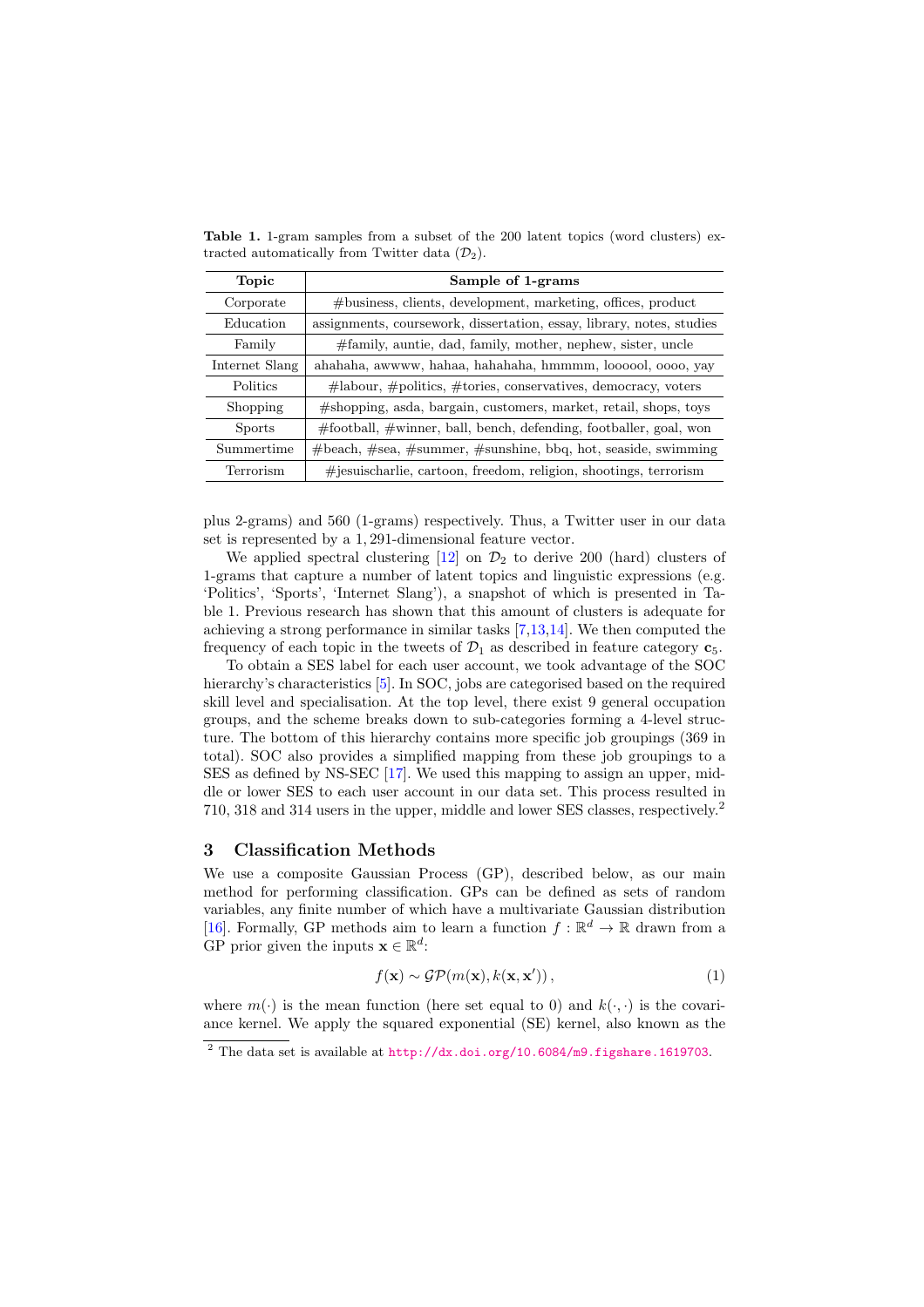| Topic          | Sample of 1-grams                                                         |  |  |
|----------------|---------------------------------------------------------------------------|--|--|
| Corporate      | $# \text{business}$ , clients, development, marketing, offices, product   |  |  |
| Education      | assignments, coursework, dissertation, essay, library, notes, studies     |  |  |
| Family         | #family, auntie, dad, family, mother, nephew, sister, uncle               |  |  |
| Internet Slang | ahahaha, awwww, hahaa, hahahaha, hmmmm, loooool, oooo, yay                |  |  |
| Politics       | $\#$ labour, $\#$ politics, $\#$ tories, conservatives, democracy, voters |  |  |
| Shopping       | #shopping, asda, bargain, customers, market, retail, shops, toys          |  |  |
| <b>Sports</b>  | $\#$ football, $\#$ winner, ball, bench, defending, footballer, goal, won |  |  |
| Summertime     | $#$ beach, $#sea$ , $#summer$ , $#sunshire$ , bbq, hot, seaside, swimming |  |  |
| Terrorism      | $\#$ jesuischarlie, cartoon, freedom, religion, shootings, terrorism      |  |  |

Table 1. 1-gram samples from a subset of the 200 latent topics (word clusters) extracted automatically from Twitter data  $(\mathcal{D}_2)$ .

plus 2-grams) and 560 (1-grams) respectively. Thus, a Twitter user in our data set is represented by a 1*,* 291-dimensional feature vector.

We applied spectral clustering  $[12]$  on  $\mathcal{D}_2$  to derive 200 (hard) clusters of 1-grams that capture a number of latent topics and linguistic expressions (e.g. 'Politics', 'Sports', 'Internet Slang'), a snapshot of which is presented in Table 1. Previous research has shown that this amount of clusters is adequate for achieving a strong performance in similar tasks [7,13,14]. We then computed the frequency of each topic in the tweets of  $\mathcal{D}_1$  as described in feature category  $c_5$ .

To obtain a SES label for each user account, we took advantage of the SOC hierarchy's characteristics [5]. In SOC, jobs are categorised based on the required skill level and specialisation. At the top level, there exist 9 general occupation groups, and the scheme breaks down to sub-categories forming a 4-level structure. The bottom of this hierarchy contains more specific job groupings (369 in total). SOC also provides a simplified mapping from these job groupings to a SES as defined by NS-SEC [17]. We used this mapping to assign an upper, middle or lower SES to each user account in our data set. This process resulted in 710, 318 and 314 users in the upper, middle and lower SES classes, respectively.<sup>2</sup>

#### 3 Classification Methods

We use a composite Gaussian Process (GP), described below, as our main method for performing classification. GPs can be defined as sets of random variables, any finite number of which have a multivariate Gaussian distribution [16]. Formally, GP methods aim to learn a function  $f : \mathbb{R}^d \to \mathbb{R}$  drawn from a GP prior given the inputs  $\mathbf{x} \in \mathbb{R}^d$ :

$$
f(\mathbf{x}) \sim \mathcal{GP}(m(\mathbf{x}), k(\mathbf{x}, \mathbf{x}'))\,,\tag{1}
$$

where  $m(\cdot)$  is the mean function (here set equal to 0) and  $k(\cdot, \cdot)$  is the covariance kernel. We apply the squared exponential (SE) kernel, also known as the

<sup>2</sup> The data set is available at http://dx.doi.org/10.6084/m9.figshare.1619703.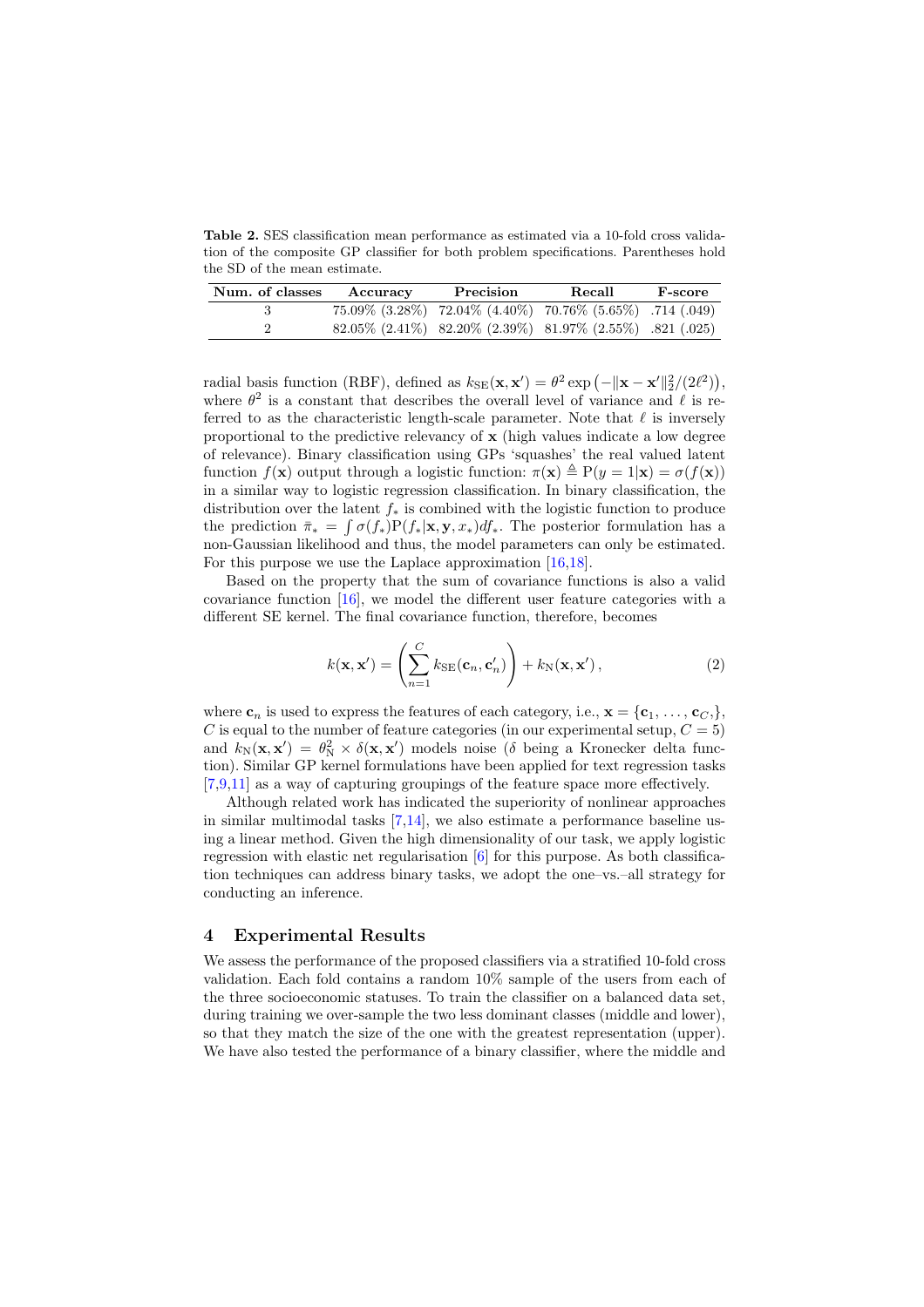Table 2. SES classification mean performance as estimated via a 10-fold cross validation of the composite GP classifier for both problem specifications. Parentheses hold the SD of the mean estimate.

| Num. of classes | Accuracy | Precision | Recall                                                                         | F-score |
|-----------------|----------|-----------|--------------------------------------------------------------------------------|---------|
|                 |          |           | $75.09\%$ $(3.28\%)$ $72.04\%$ $(4.40\%)$ $70.76\%$ $(5.65\%)$ $.714$ $(.049)$ |         |
|                 |          |           | $82.05\%$ (2.41\%) $82.20\%$ (2.39\%) $81.97\%$ (2.55\%) .821 (.025)           |         |

radial basis function (RBF), defined as  $k_{\text{SE}}(\mathbf{x}, \mathbf{x}') = \theta^2 \exp(-\|\mathbf{x} - \mathbf{x}'\|_2^2/(2\ell^2)),$ where  $\theta^2$  is a constant that describes the overall level of variance and  $\ell$  is referred to as the characteristic length-scale parameter. Note that  $\ell$  is inversely proportional to the predictive relevancy of  $x$  (high values indicate a low degree of relevance). Binary classification using GPs 'squashes' the real valued latent function  $f(\mathbf{x})$  output through a logistic function:  $\pi(\mathbf{x}) \triangleq P(y = 1|\mathbf{x}) = \sigma(f(\mathbf{x}))$ in a similar way to logistic regression classification. In binary classification, the distribution over the latent  $f_*$  is combined with the logistic function to produce the prediction  $\bar{\pi}_* = \int \sigma(f_*)P(f_*|\mathbf{x}, \mathbf{y}, x_*) df_*$ . The posterior formulation has a non-Gaussian likelihood and thus, the model parameters can only be estimated. For this purpose we use the Laplace approximation [16,18].

Based on the property that the sum of covariance functions is also a valid covariance function  $[16]$ , we model the different user feature categories with a different SE kernel. The final covariance function, therefore, becomes

$$
k(\mathbf{x}, \mathbf{x}') = \left(\sum_{n=1}^{C} k_{\text{SE}}(\mathbf{c}_n, \mathbf{c}'_n)\right) + k_{\text{N}}(\mathbf{x}, \mathbf{x}'),\tag{2}
$$

where  $\mathbf{c}_n$  is used to express the features of each category, i.e.,  $\mathbf{x} = {\mathbf{c}_1, \ldots, \mathbf{c}_C}$ *C* is equal to the number of feature categories (in our experimental setup,  $C = 5$ ) and  $k_N(\mathbf{x}, \mathbf{x}') = \theta_N^2 \times \delta(\mathbf{x}, \mathbf{x}')$  models noise ( $\delta$  being a Kronecker delta function). Similar GP kernel formulations have been applied for text regression tasks  $[7,9,11]$  as a way of capturing groupings of the feature space more effectively.

Although related work has indicated the superiority of nonlinear approaches in similar multimodal tasks [7,14], we also estimate a performance baseline using a linear method. Given the high dimensionality of our task, we apply logistic regression with elastic net regularisation [6] for this purpose. As both classification techniques can address binary tasks, we adopt the one–vs.–all strategy for conducting an inference.

#### 4 Experimental Results

We assess the performance of the proposed classifiers via a stratified 10-fold cross validation. Each fold contains a random 10% sample of the users from each of the three socioeconomic statuses. To train the classifier on a balanced data set, during training we over-sample the two less dominant classes (middle and lower), so that they match the size of the one with the greatest representation (upper). We have also tested the performance of a binary classifier, where the middle and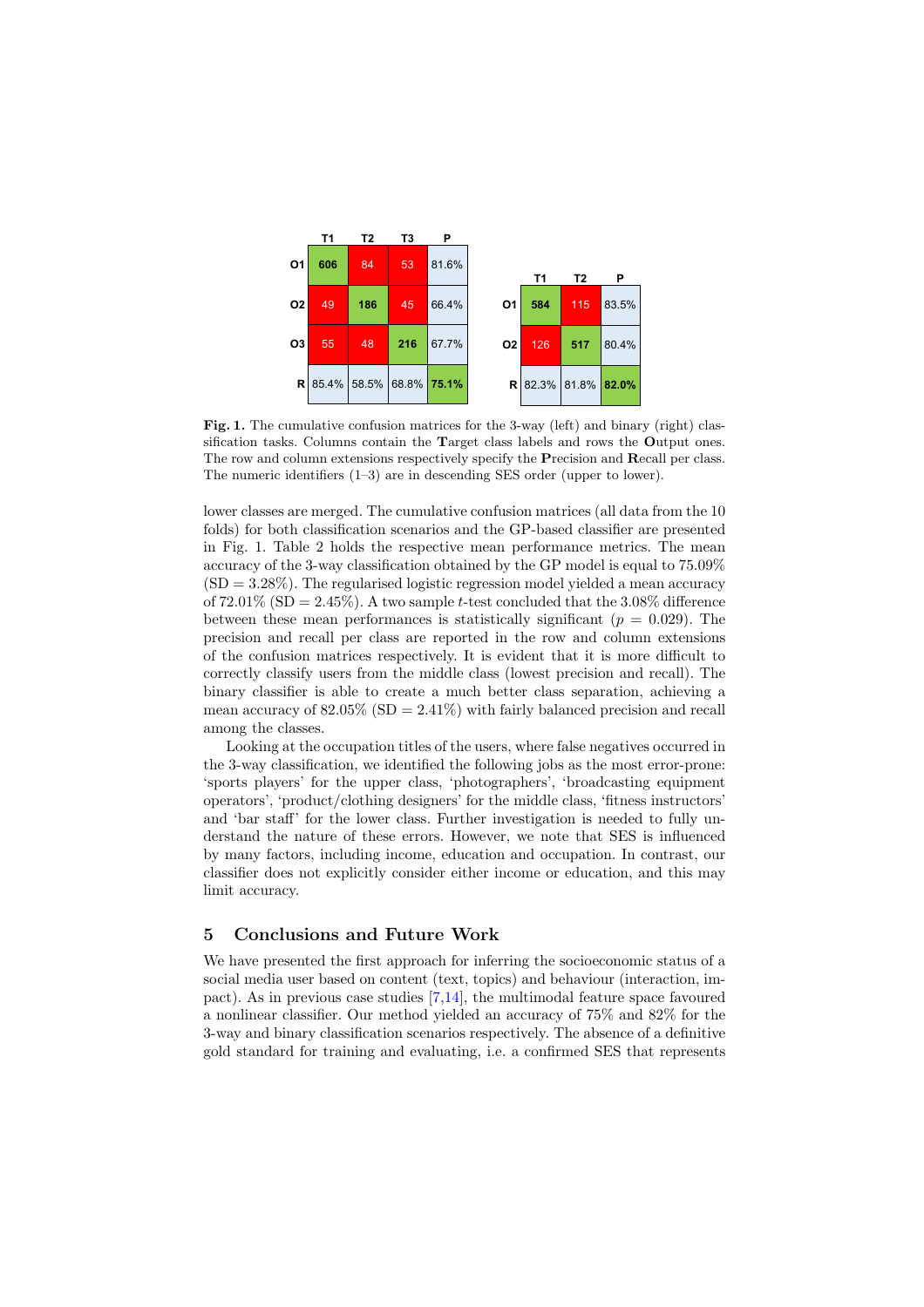

Fig. 1. The cumulative confusion matrices for the 3-way (left) and binary (right) classification tasks. Columns contain the Target class labels and rows the Output ones. The row and column extensions respectively specify the Precision and Recall per class. The numeric identifiers (1–3) are in descending SES order (upper to lower).

lower classes are merged. The cumulative confusion matrices (all data from the 10 folds) for both classification scenarios and the GP-based classifier are presented in Fig. 1. Table 2 holds the respective mean performance metrics. The mean accuracy of the 3-way classification obtained by the GP model is equal to 75*.*09%  $(SD = 3.28\%)$ . The regularised logistic regression model yielded a mean accuracy of  $72.01\%$  (SD =  $2.45\%$ ). A two sample *t*-test concluded that the 3.08% difference between these mean performances is statistically significant  $(p = 0.029)$ . The precision and recall per class are reported in the row and column extensions of the confusion matrices respectively. It is evident that it is more dicult to correctly classify users from the middle class (lowest precision and recall). The binary classifier is able to create a much better class separation, achieving a mean accuracy of  $82.05\%$  (SD =  $2.41\%$ ) with fairly balanced precision and recall among the classes.

Looking at the occupation titles of the users, where false negatives occurred in the 3-way classification, we identified the following jobs as the most error-prone: 'sports players' for the upper class, 'photographers', 'broadcasting equipment operators', 'product/clothing designers' for the middle class, 'fitness instructors' and 'bar staff' for the lower class. Further investigation is needed to fully understand the nature of these errors. However, we note that SES is influenced by many factors, including income, education and occupation. In contrast, our classifier does not explicitly consider either income or education, and this may limit accuracy.

### 5 Conclusions and Future Work

We have presented the first approach for inferring the socioeconomic status of a social media user based on content (text, topics) and behaviour (interaction, impact). As in previous case studies [7,14], the multimodal feature space favoured a nonlinear classifier. Our method yielded an accuracy of 75% and 82% for the 3-way and binary classification scenarios respectively. The absence of a definitive gold standard for training and evaluating, i.e. a confirmed SES that represents